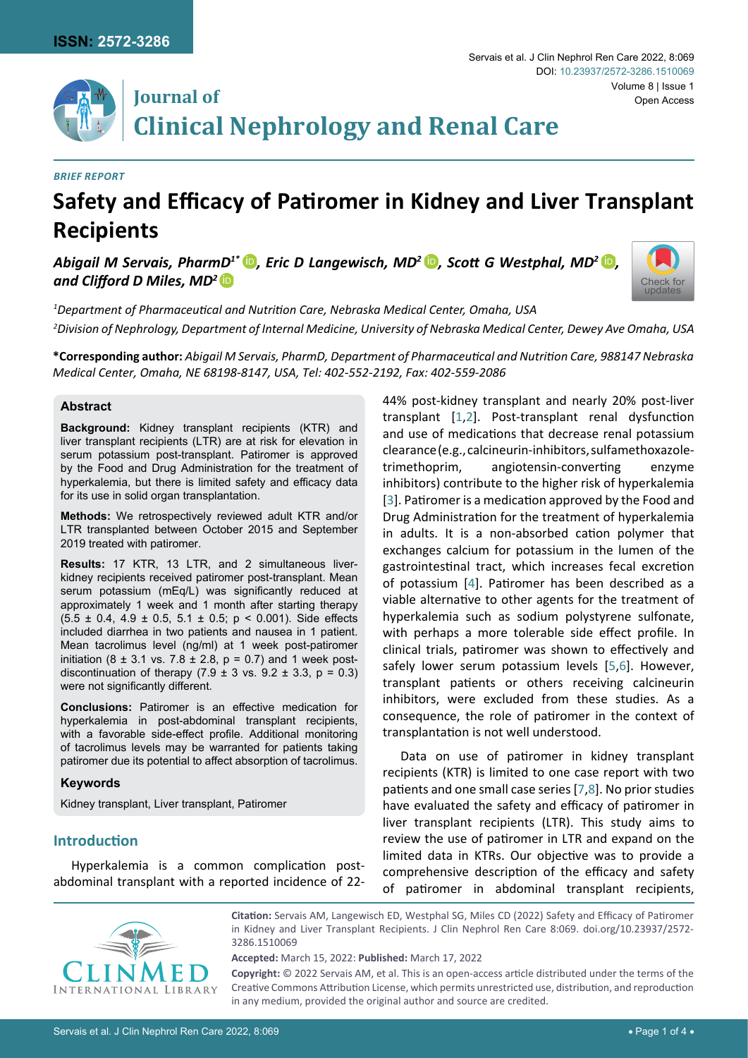

# **Journal of Clinical Nephrology and Renal Care**

#### *Brief Report*

# **Safety and Efficacy of Patiromer in Kidney and Liver Transplant Recipients**

*Abigail M Servais, PharmD<sup>1\*</sup> D, Eric D Langewisch, MD<sup>2</sup> D, Scott G Westphal, MD<sup>2</sup> D, and Clifford D Miles, MD<sup>2</sup>*[iD](https://orcid.org/0000-0003-0517-6104)



*1 Department of Pharmaceutical and Nutrition Care, Nebraska Medical Center, Omaha, USA 2 Division of Nephrology, Department of Internal Medicine, University of Nebraska Medical Center, Dewey Ave Omaha, USA*

**\*Corresponding author:** *Abigail M Servais, PharmD, Department of Pharmaceutical and Nutrition Care, 988147 Nebraska Medical Center, Omaha, NE 68198-8147, USA, Tel: 402-552-2192, Fax: 402-559-2086*

### **Abstract**

**Background:** Kidney transplant recipients (KTR) and liver transplant recipients (LTR) are at risk for elevation in serum potassium post-transplant. Patiromer is approved by the Food and Drug Administration for the treatment of hyperkalemia, but there is limited safety and efficacy data for its use in solid organ transplantation.

**Methods:** We retrospectively reviewed adult KTR and/or LTR transplanted between October 2015 and September 2019 treated with patiromer.

**Results:** 17 KTR, 13 LTR, and 2 simultaneous liverkidney recipients received patiromer post-transplant. Mean serum potassium (mEq/L) was significantly reduced at approximately 1 week and 1 month after starting therapy  $(5.5 \pm 0.4, 4.9 \pm 0.5, 5.1 \pm 0.5; p < 0.001)$ . Side effects included diarrhea in two patients and nausea in 1 patient. Mean tacrolimus level (ng/ml) at 1 week post-patiromer initiation (8  $\pm$  3.1 vs. 7.8  $\pm$  2.8, p = 0.7) and 1 week postdiscontinuation of therapy  $(7.9 \pm 3 \text{ vs. } 9.2 \pm 3.3, \text{ p} = 0.3)$ were not significantly different.

**Conclusions:** Patiromer is an effective medication for hyperkalemia in post-abdominal transplant recipients, with a favorable side-effect profile. Additional monitoring of tacrolimus levels may be warranted for patients taking patiromer due its potential to affect absorption of tacrolimus.

#### **Keywords**

Kidney transplant, Liver transplant, Patiromer

## **Introduction**

Hyperkalemia is a common complication postabdominal transplant with a reported incidence of 2244% post-kidney transplant and nearly 20% post-liver transplant [[1](#page-3-0)[,2](#page-3-1)]. Post-transplant renal dysfunction and use of medications that decrease renal potassium clearance (e.g., calcineurin-inhibitors, sulfamethoxazoletrimethoprim, angiotensin-converting enzyme inhibitors) contribute to the higher risk of hyperkalemia [[3\]](#page-3-2). Patiromer is a medication approved by the Food and Drug Administration for the treatment of hyperkalemia in adults. It is a non-absorbed cation polymer that exchanges calcium for potassium in the lumen of the gastrointestinal tract, which increases fecal excretion of potassium [[4](#page-3-3)]. Patiromer has been described as a viable alternative to other agents for the treatment of hyperkalemia such as sodium polystyrene sulfonate, with perhaps a more tolerable side effect profile. In clinical trials, patiromer was shown to effectively and safely lower serum potassium levels [[5](#page-3-4),[6\]](#page-3-5). However, transplant patients or others receiving calcineurin inhibitors, were excluded from these studies. As a consequence, the role of patiromer in the context of transplantation is not well understood.

Data on use of patiromer in kidney transplant recipients (KTR) is limited to one case report with two patients and one small case series [[7](#page-3-6),[8\]](#page-3-7). No prior studies have evaluated the safety and efficacy of patiromer in liver transplant recipients (LTR). This study aims to review the use of patiromer in LTR and expand on the limited data in KTRs. Our objective was to provide a comprehensive description of the efficacy and safety of patiromer in abdominal transplant recipients,



**Citation:** Servais AM, Langewisch ED, Westphal SG, Miles CD (2022) Safety and Efficacy of Patiromer in Kidney and Liver Transplant Recipients. J Clin Nephrol Ren Care 8:069. [doi.org/10.23937/2572-](https://doi.org/10.23937/2572-3286.1510069) [3286.1510069](https://doi.org/10.23937/2572-3286.1510069)

**Accepted:** March 15, 2022: **Published:** March 17, 2022

**Copyright:** © 2022 Servais AM, et al. This is an open-access article distributed under the terms of the Creative Commons Attribution License, which permits unrestricted use, distribution, and reproduction in any medium, provided the original author and source are credited.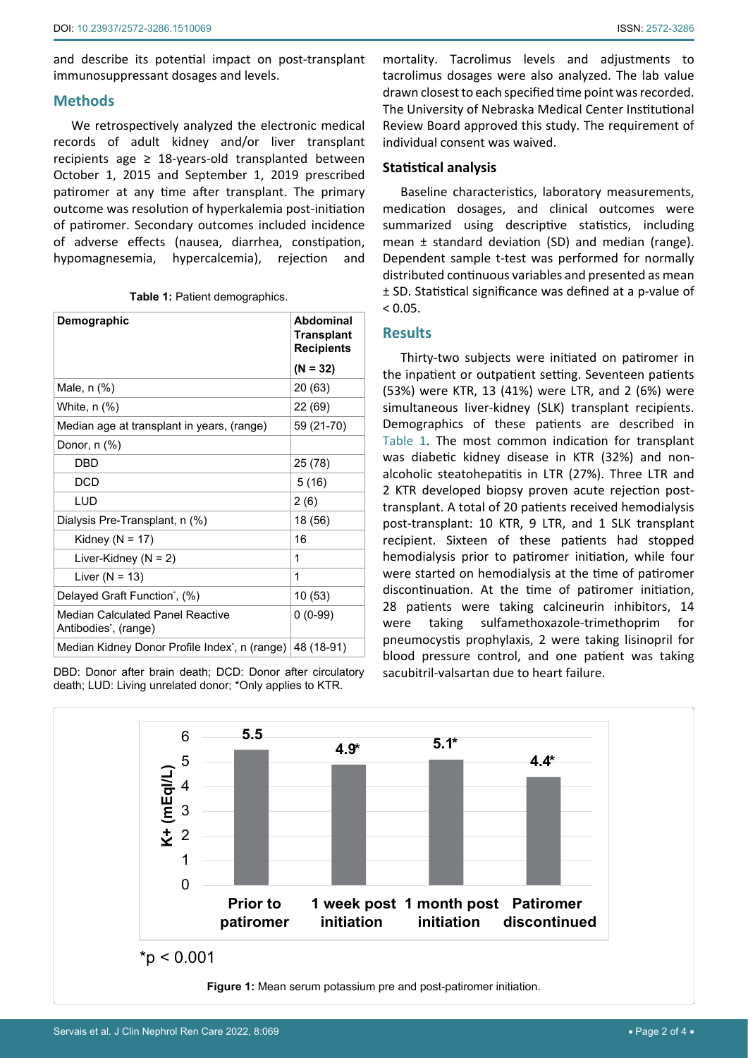and describe its potential impact on post-transplant immunosuppressant dosages and levels.

#### **Methods**

We retrospectively analyzed the electronic medical records of adult kidney and/or liver transplant recipients age ≥ 18-years-old transplanted between October 1, 2015 and September 1, 2019 prescribed patiromer at any time after transplant. The primary outcome was resolution of hyperkalemia post-initiation of patiromer. Secondary outcomes included incidence of adverse effects (nausea, diarrhea, constipation, hypomagnesemia, hypercalcemia), rejection and

|  |  | Table 1: Patient demographics. |  |
|--|--|--------------------------------|--|
|--|--|--------------------------------|--|

| Demographic                                                           | Abdominal<br><b>Transplant</b><br><b>Recipients</b> |
|-----------------------------------------------------------------------|-----------------------------------------------------|
|                                                                       | $(N = 32)$                                          |
| Male, n (%)                                                           | 20 (63)                                             |
| White, $n$ (%)                                                        | 22 (69)                                             |
| Median age at transplant in years, (range)                            | 59 (21-70)                                          |
| Donor, $n$ $(\%)$                                                     |                                                     |
| DBD                                                                   | 25 (78)                                             |
| <b>DCD</b>                                                            | 5(16)                                               |
| LUD                                                                   | 2(6)                                                |
| Dialysis Pre-Transplant, n (%)                                        | 18 (56)                                             |
| Kidney ( $N = 17$ )                                                   | 16                                                  |
| Liver-Kidney ( $N = 2$ )                                              | 1                                                   |
| Liver ( $N = 13$ )                                                    | 1                                                   |
| Delayed Graft Function <sup>*</sup> , (%)                             | 10 (53)                                             |
| Median Calculated Panel Reactive<br>Antibodies <sup>*</sup> , (range) | $0(0-99)$                                           |
| Median Kidney Donor Profile Index <sup>*</sup> , n (range) 48 (18-91) |                                                     |

DBD: Donor after brain death; DCD: Donor after circulatory death; LUD: Living unrelated donor; \*Only applies to KTR.

mortality. Tacrolimus levels and adjustments to tacrolimus dosages were also analyzed. The lab value drawn closest to each specified time point was recorded. The University of Nebraska Medical Center Institutional Review Board approved this study. The requirement of individual consent was waived.

#### **Statistical analysis**

Baseline characteristics, laboratory measurements, medication dosages, and clinical outcomes were summarized using descriptive statistics, including mean ± standard deviation (SD) and median (range). Dependent sample t-test was performed for normally distributed continuous variables and presented as mean ± SD. Statistical significance was defined at a p-value of  $< 0.05$ .

### **Results**

Thirty-two subjects were initiated on patiromer in the inpatient or outpatient setting. Seventeen patients (53%) were KTR, 13 (41%) were LTR, and 2 (6%) were simultaneous liver-kidney (SLK) transplant recipients. Demographics of these patients are described in Table 1. The most common indication for transplant was diabetic kidney disease in KTR (32%) and nonalcoholic steatohepatitis in LTR (27%). Three LTR and 2 KTR developed biopsy proven acute rejection posttransplant. A total of 20 patients received hemodialysis post-transplant: 10 KTR, 9 LTR, and 1 SLK transplant recipient. Sixteen of these patients had stopped hemodialysis prior to patiromer initiation, while four were started on hemodialysis at the time of patiromer discontinuation. At the time of patiromer initiation, 28 patients were taking calcineurin inhibitors, 14 were taking sulfamethoxazole-trimethoprim for pneumocystis prophylaxis, 2 were taking lisinopril for blood pressure control, and one patient was taking sacubitril-valsartan due to heart failure.

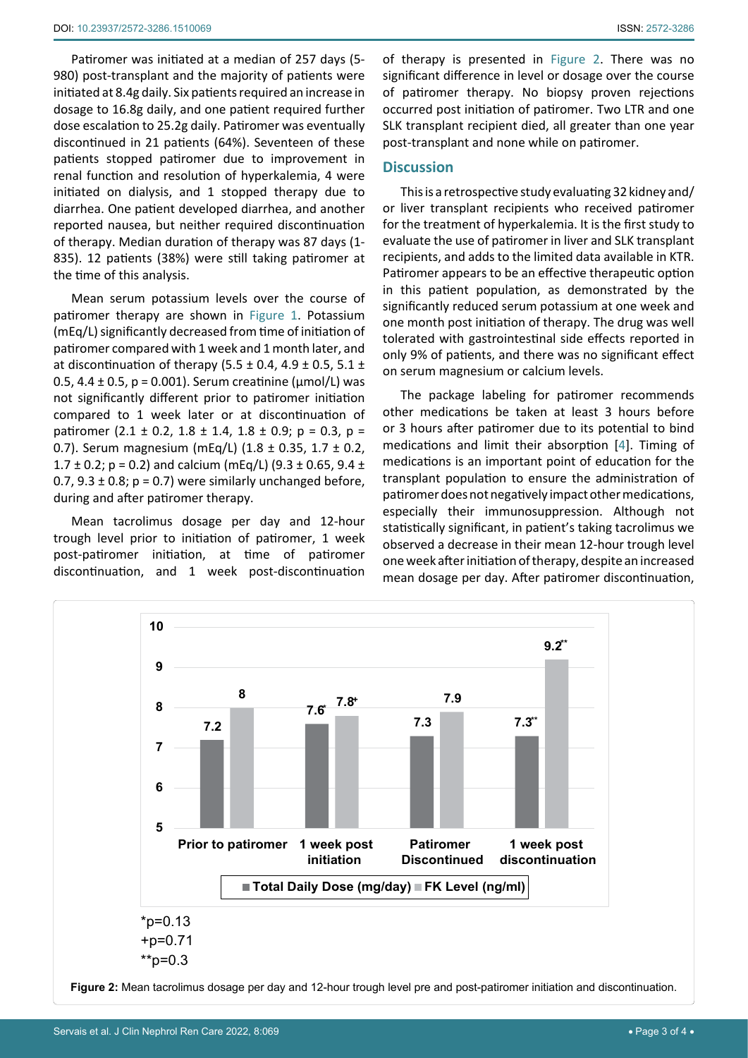Patiromer was initiated at a median of 257 days (5- 980) post-transplant and the majority of patients were initiated at 8.4g daily. Six patients required an increase in dosage to 16.8g daily, and one patient required further dose escalation to 25.2g daily. Patiromer was eventually discontinued in 21 patients (64%). Seventeen of these patients stopped patiromer due to improvement in renal function and resolution of hyperkalemia, 4 were initiated on dialysis, and 1 stopped therapy due to diarrhea. One patient developed diarrhea, and another reported nausea, but neither required discontinuation of therapy. Median duration of therapy was 87 days (1- 835). 12 patients (38%) were still taking patiromer at the time of this analysis.

Mean serum potassium levels over the course of patiromer therapy are shown in Figure 1. Potassium (mEq/L) significantly decreased from time of initiation of patiromer compared with 1 week and 1 month later, and at discontinuation of therapy (5.5  $\pm$  0.4, 4.9  $\pm$  0.5, 5.1  $\pm$ 0.5,  $4.4 \pm 0.5$ ,  $p = 0.001$ ). Serum creatinine ( $\mu$ mol/L) was not significantly different prior to patiromer initiation compared to 1 week later or at discontinuation of patiromer (2.1 ± 0.2, 1.8 ± 1.4, 1.8 ± 0.9; p = 0.3, p = 0.7). Serum magnesium (mEq/L) (1.8 ± 0.35, 1.7 ± 0.2, 1.7  $\pm$  0.2; p = 0.2) and calcium (mEq/L) (9.3  $\pm$  0.65, 9.4  $\pm$ 0.7,  $9.3 \pm 0.8$ ;  $p = 0.7$ ) were similarly unchanged before, during and after patiromer therapy.

Mean tacrolimus dosage per day and 12-hour trough level prior to initiation of patiromer, 1 week post-patiromer initiation, at time of patiromer discontinuation, and 1 week post-discontinuation of therapy is presented in Figure 2. There was no significant difference in level or dosage over the course of patiromer therapy. No biopsy proven rejections occurred post initiation of patiromer. Two LTR and one SLK transplant recipient died, all greater than one year post-transplant and none while on patiromer.

#### **Discussion**

This is a retrospective study evaluating 32 kidney and/ or liver transplant recipients who received patiromer for the treatment of hyperkalemia. It is the first study to evaluate the use of patiromer in liver and SLK transplant recipients, and adds to the limited data available in KTR. Patiromer appears to be an effective therapeutic option in this patient population, as demonstrated by the significantly reduced serum potassium at one week and one month post initiation of therapy. The drug was well tolerated with gastrointestinal side effects reported in only 9% of patients, and there was no significant effect on serum magnesium or calcium levels.

The package labeling for patiromer recommends other medications be taken at least 3 hours before or 3 hours after patiromer due to its potential to bind medications and limit their absorption [[4](#page-3-3)]. Timing of medications is an important point of education for the transplant population to ensure the administration of patiromer does not negatively impact other medications, especially their immunosuppression. Although not statistically significant, in patient's taking tacrolimus we observed a decrease in their mean 12-hour trough level one week after initiation of therapy, despite an increased mean dosage per day. After patiromer discontinuation,